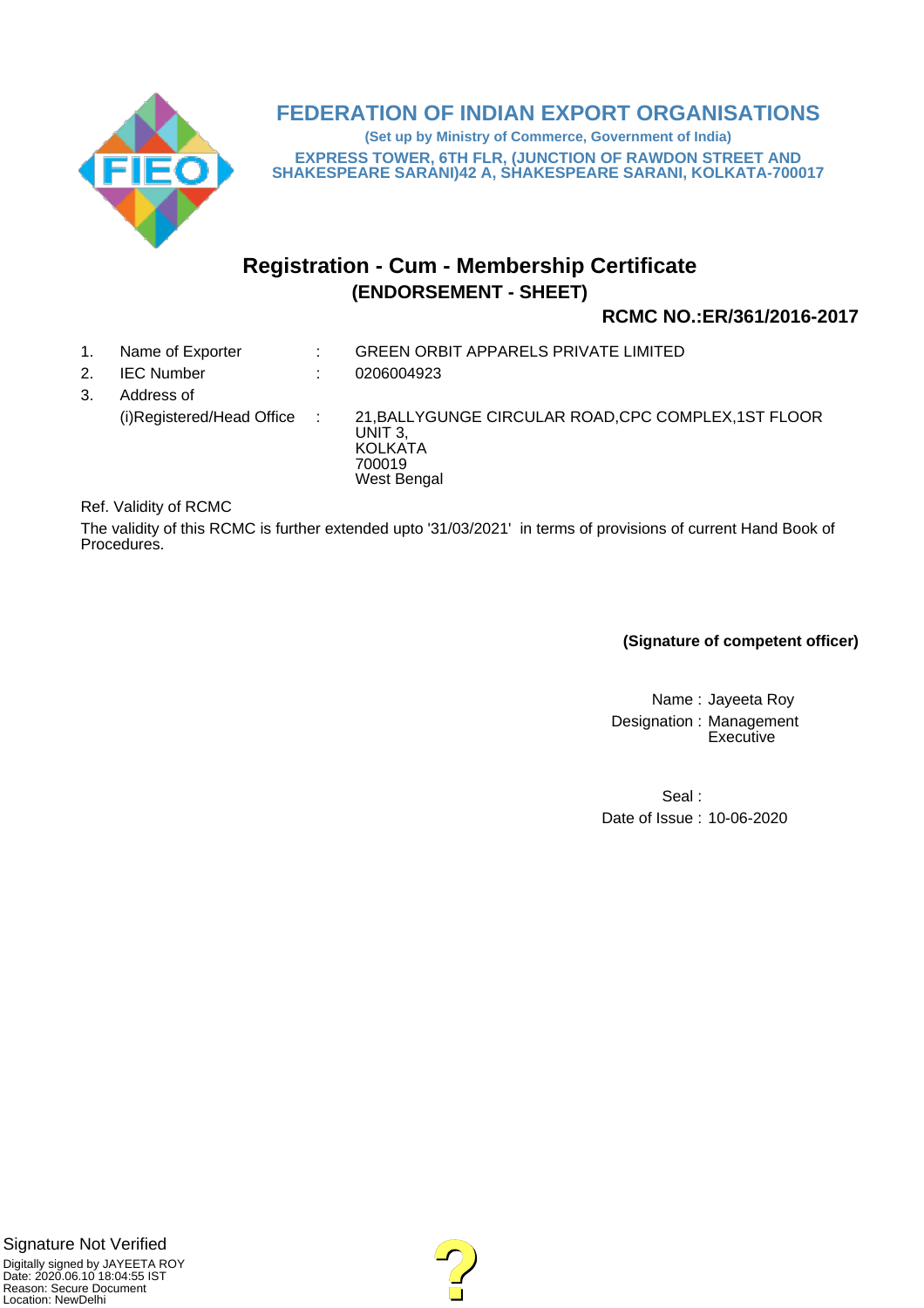

# **FEDERATION OF INDIAN EXPORT ORGANISATIONS**

**(Set up by Ministry of Commerce, Government of India) EXPRESS TOWER, 6TH FLR, (JUNCTION OF RAWDON STREET AND SHAKESPEARE SARANI)42 A, SHAKESPEARE SARANI, KOLKATA-700017**

# **Registration - Cum - Membership Certificate (ENDORSEMENT - SHEET)**

# **RCMC NO.:ER/361/2016-2017**

- 1. Name of Exporter : GREEN ORBIT APPARELS PRIVATE LIMITED
- 2. IEC Number : 0206004923
- 3. Address of (i)Registered/Head Office : 21,BALLYGUNGE CIRCULAR ROAD,CPC COMPLEX,1ST FLOOR UNIT 3, **KOLKATA** 700019 West Bengal

Ref. Validity of RCMC

The validity of this RCMC is further extended upto '31/03/2021' in terms of provisions of current Hand Book of Procedures.

**(Signature of competent officer)**

Name : Jayeeta Roy Designation : Management **Executive** 

Seal : Date of Issue : 10-06-2020

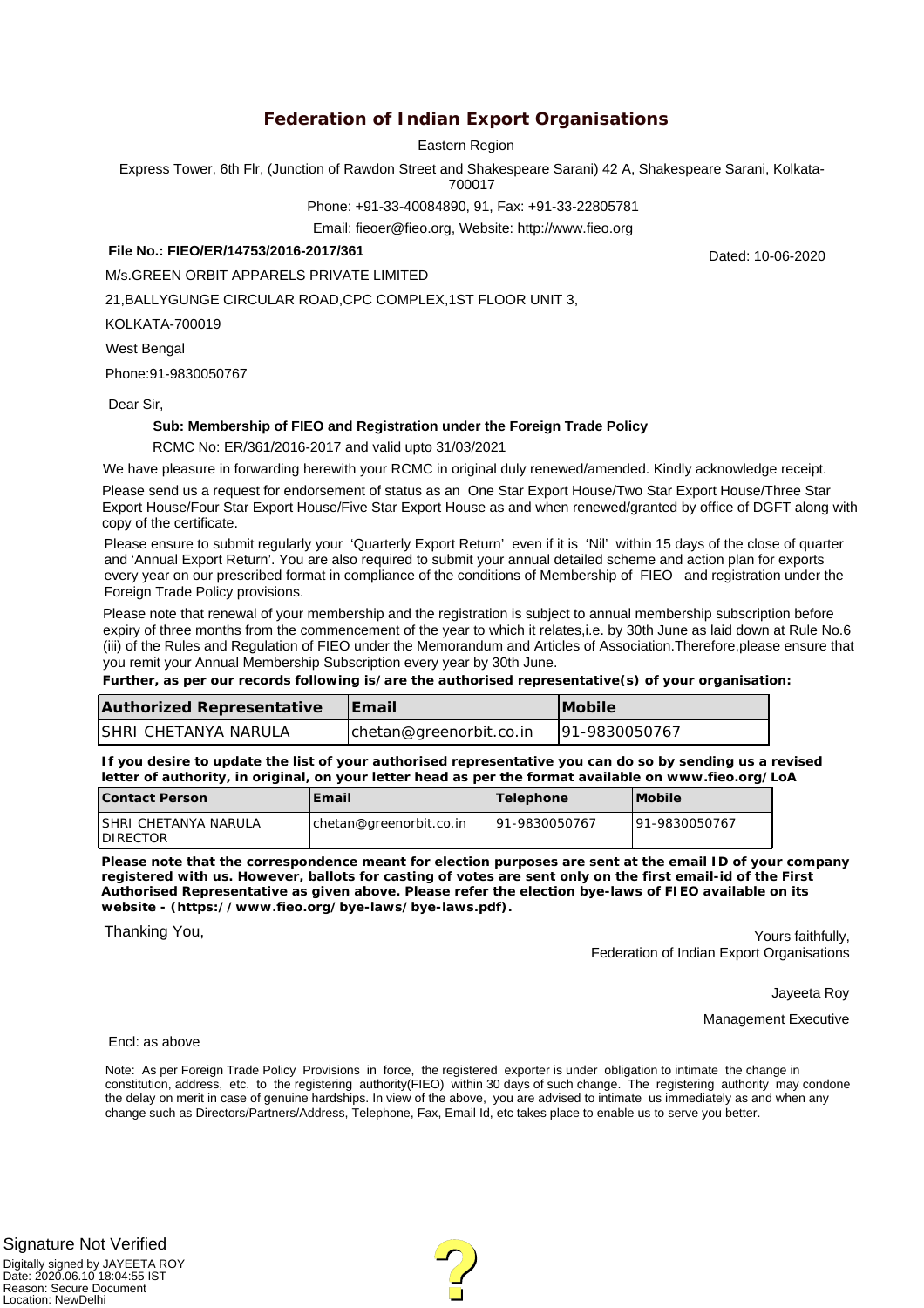# **Federation of Indian Export Organisations**

Eastern Region

Express Tower, 6th Flr, (Junction of Rawdon Street and Shakespeare Sarani) 42 A, Shakespeare Sarani, Kolkata-

700017

Phone: +91-33-40084890, 91, Fax: +91-33-22805781

Email: fieoer@fieo.org, Website: http://www.fieo.org

#### **File No.: FIEO/ER/14753/2016-2017/361**

M/s.GREEN ORBIT APPARELS PRIVATE LIMITED

21,BALLYGUNGE CIRCULAR ROAD,CPC COMPLEX,1ST FLOOR UNIT 3,

KOLKATA-700019

West Bengal

Phone:91-9830050767

Dear Sir,

#### **Sub: Membership of FIEO and Registration under the Foreign Trade Policy**

RCMC No: ER/361/2016-2017 and valid upto 31/03/2021

We have pleasure in forwarding herewith your RCMC in original duly renewed/amended. Kindly acknowledge receipt.

Please send us a request for endorsement of status as an One Star Export House/Two Star Export House/Three Star Export House/Four Star Export House/Five Star Export House as and when renewed/granted by office of DGFT along with copy of the certificate.

Please ensure to submit regularly your 'Quarterly Export Return' even if it is 'Nil' within 15 days of the close of quarter and 'Annual Export Return'. You are also required to submit your annual detailed scheme and action plan for exports every year on our prescribed format in compliance of the conditions of Membership of FIEO and registration under the Foreign Trade Policy provisions.

Please note that renewal of your membership and the registration is subject to annual membership subscription before expiry of three months from the commencement of the year to which it relates,i.e. by 30th June as laid down at Rule No.6 (iii) of the Rules and Regulation of FIEO under the Memorandum and Articles of Association.Therefore,please ensure that you remit your Annual Membership Subscription every year by 30th June.

**Further, as per our records following is/are the authorised representative(s) of your organisation:**

| Authorized Representative | <b>IFmail</b>           | <b>IMobile</b> |
|---------------------------|-------------------------|----------------|
| ISHRI CHETANYA NARULA     | chetan@greenorbit.co.in | 91-9830050767  |

**If you desire to update the list of your authorised representative you can do so by sending us a revised letter of authority, in original, on your letter head as per the format available on www.fieo.org/LoA**

| Contact Person                            | Email                    | 'Telephone     | <i>IMobile</i> |
|-------------------------------------------|--------------------------|----------------|----------------|
| ISHRI CHETANYA NARULA<br><b>IDIRECTOR</b> | Ichetan@greenorbit.co.in | 191-9830050767 | 191-9830050767 |

**Please note that the correspondence meant for election purposes are sent at the email ID of your company registered with us. However, ballots for casting of votes are sent only on the first email-id of the First Authorised Representative as given above. Please refer the election bye-laws of FIEO available on its website - (https://www.fieo.org/bye-laws/bye-laws.pdf).**

Thanking You,

Yours faithfully, Federation of Indian Export Organisations

Jayeeta Roy

Management Executive

Encl: as above

Note: As per Foreign Trade Policy Provisions in force, the registered exporter is under obligation to intimate the change in constitution, address, etc. to the registering authority(FIEO) within 30 days of such change. The registering authority may condone the delay on merit in case of genuine hardships. In view of the above, you are advised to intimate us immediately as and when any change such as Directors/Partners/Address, Telephone, Fax, Email Id, etc takes place to enable us to serve you better.

Dated: 10-06-2020

Digitally signed by JAYEETA ROY Date: 2020.06.10 18:04:55 IST Signature Not Verified

Reason: Secure Document Location: NewDelhi

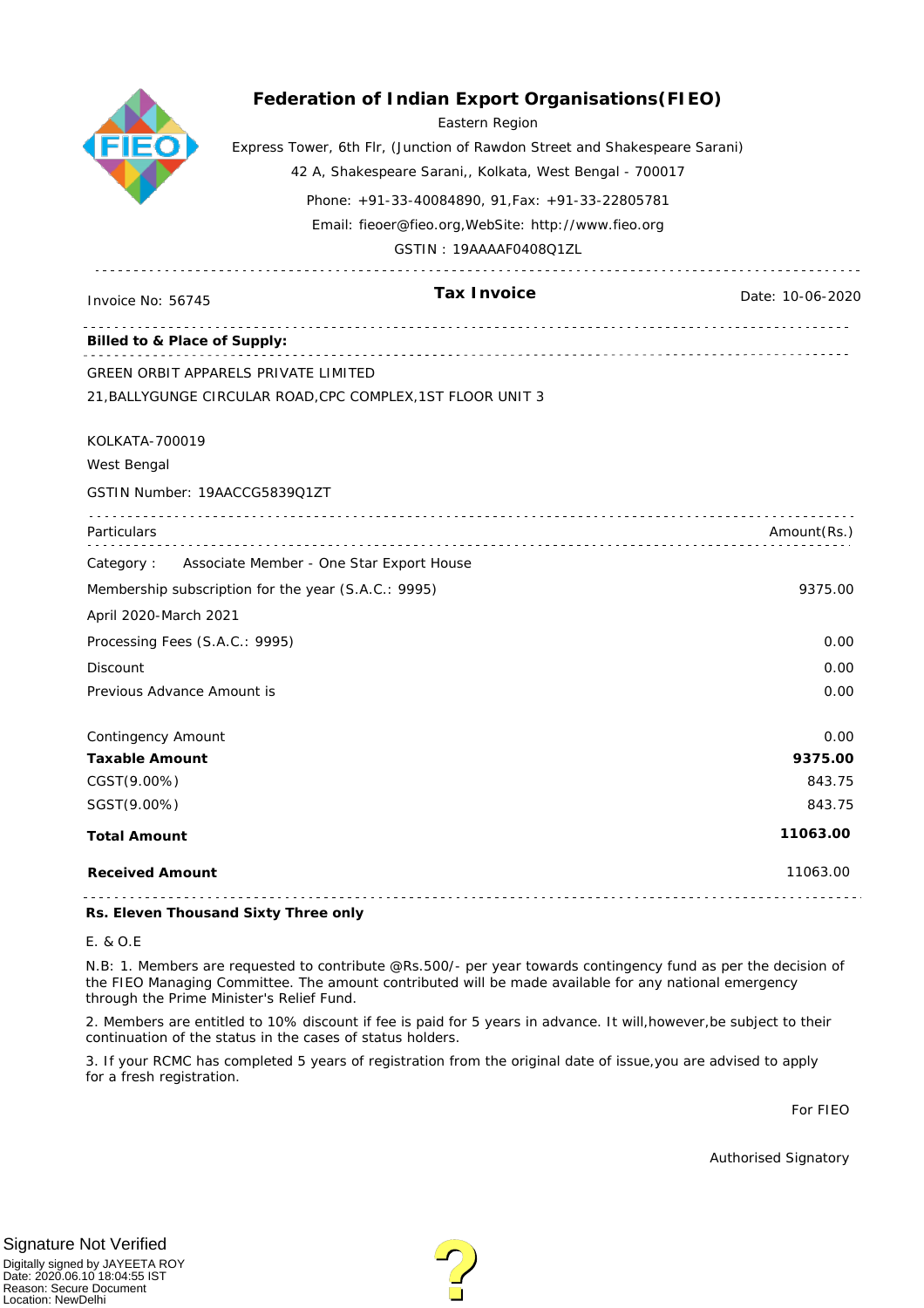|                                                     | Federation of Indian Export Organisations (FIEO)<br>Eastern Region<br>Express Tower, 6th Flr, (Junction of Rawdon Street and Shakespeare Sarani)<br>42 A, Shakespeare Sarani,, Kolkata, West Bengal - 700017<br>Phone: +91-33-40084890, 91, Fax: +91-33-22805781<br>Email: fieoer@fieo.org, WebSite: http://www.fieo.org<br>GSTIN: 19AAAAF0408Q1ZL |                  |
|-----------------------------------------------------|----------------------------------------------------------------------------------------------------------------------------------------------------------------------------------------------------------------------------------------------------------------------------------------------------------------------------------------------------|------------------|
| Invoice No: 56745                                   | Tax Invoice                                                                                                                                                                                                                                                                                                                                        | Date: 10-06-2020 |
| Billed to & Place of Supply:                        |                                                                                                                                                                                                                                                                                                                                                    |                  |
|                                                     | GREEN ORBIT APPARELS PRIVATE LIMITED                                                                                                                                                                                                                                                                                                               |                  |
|                                                     | 21, BALLYGUNGE CIRCULAR ROAD, CPC COMPLEX, 1ST FLOOR UNIT 3                                                                                                                                                                                                                                                                                        |                  |
| KOLKATA-700019                                      |                                                                                                                                                                                                                                                                                                                                                    |                  |
| West Bengal                                         |                                                                                                                                                                                                                                                                                                                                                    |                  |
| GSTIN Number: 19AACCG5839Q1ZT                       |                                                                                                                                                                                                                                                                                                                                                    |                  |
| Particulars                                         |                                                                                                                                                                                                                                                                                                                                                    | Amount(Rs.)      |
|                                                     | Category: Associate Member - One Star Export House                                                                                                                                                                                                                                                                                                 |                  |
| Membership subscription for the year (S.A.C.: 9995) |                                                                                                                                                                                                                                                                                                                                                    |                  |
| April 2020-March 2021                               |                                                                                                                                                                                                                                                                                                                                                    |                  |
| Processing Fees (S.A.C.: 9995)                      |                                                                                                                                                                                                                                                                                                                                                    | 0.00             |
| Discount                                            |                                                                                                                                                                                                                                                                                                                                                    | 0.00             |
| Previous Advance Amount is                          |                                                                                                                                                                                                                                                                                                                                                    | 0.00             |
| Contingency Amount                                  |                                                                                                                                                                                                                                                                                                                                                    | 0.00             |
| <b>Taxable Amount</b>                               |                                                                                                                                                                                                                                                                                                                                                    | 9375.00          |
| CGST(9.00%)                                         |                                                                                                                                                                                                                                                                                                                                                    | 843.75           |
| SGST(9.00%)                                         |                                                                                                                                                                                                                                                                                                                                                    | 843.75           |
| <b>Total Amount</b>                                 |                                                                                                                                                                                                                                                                                                                                                    | 11063.00         |
| <b>Received Amount</b>                              |                                                                                                                                                                                                                                                                                                                                                    | 11063.00         |
|                                                     |                                                                                                                                                                                                                                                                                                                                                    |                  |

**Rs. Eleven Thousand Sixty Three only**

#### E. & O.E

N.B: 1. Members are requested to contribute @Rs.500/- per year towards contingency fund as per the decision of the FIEO Managing Committee. The amount contributed will be made available for any national emergency through the Prime Minister's Relief Fund.

2. Members are entitled to 10% discount if fee is paid for 5 years in advance. It will,however,be subject to their continuation of the status in the cases of status holders.

3. If your RCMC has completed 5 years of registration from the original date of issue,you are advised to apply for a fresh registration.

For FIEO

Authorised Signatory

## Signature Not Verified